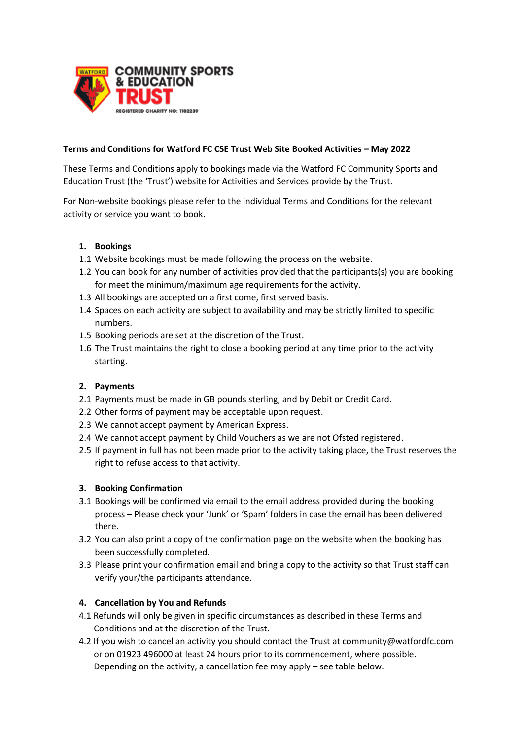

#### **Terms and Conditions for Watford FC CSE Trust Web Site Booked Activities – May 2022**

These Terms and Conditions apply to bookings made via the Watford FC Community Sports and Education Trust (the 'Trust') website for Activities and Services provide by the Trust.

For Non-website bookings please refer to the individual Terms and Conditions for the relevant activity or service you want to book.

#### **1. Bookings**

- 1.1 Website bookings must be made following the process on the website.
- 1.2 You can book for any number of activities provided that the participants(s) you are booking for meet the minimum/maximum age requirements for the activity.
- 1.3 All bookings are accepted on a first come, first served basis.
- 1.4 Spaces on each activity are subject to availability and may be strictly limited to specific numbers.
- 1.5 Booking periods are set at the discretion of the Trust.
- 1.6 The Trust maintains the right to close a booking period at any time prior to the activity starting.

#### **2. Payments**

- 2.1 Payments must be made in GB pounds sterling, and by Debit or Credit Card.
- 2.2 Other forms of payment may be acceptable upon request.
- 2.3 We cannot accept payment by American Express.
- 2.4 We cannot accept payment by Child Vouchers as we are not Ofsted registered.
- 2.5 If payment in full has not been made prior to the activity taking place, the Trust reserves the right to refuse access to that activity.

#### **3. Booking Confirmation**

- 3.1 Bookings will be confirmed via email to the email address provided during the booking process – Please check your 'Junk' or 'Spam' folders in case the email has been delivered there.
- 3.2 You can also print a copy of the confirmation page on the website when the booking has been successfully completed.
- 3.3 Please print your confirmation email and bring a copy to the activity so that Trust staff can verify your/the participants attendance.

### **4. Cancellation by You and Refunds**

- 4.1 Refunds will only be given in specific circumstances as described in these Terms and Conditions and at the discretion of the Trust.
- 4.2 If you wish to cancel an activity you should contact the Trust at community@watfordfc.com or on 01923 496000 at least 24 hours prior to its commencement, where possible. Depending on the activity, a cancellation fee may apply – see table below.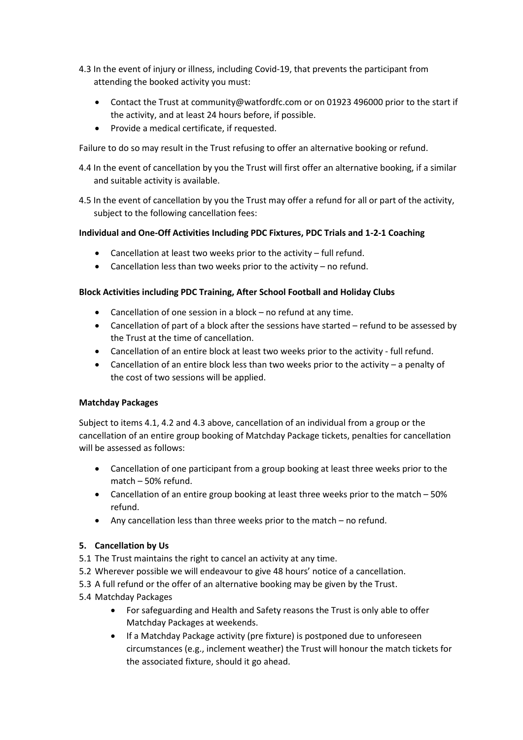- 4.3 In the event of injury or illness, including Covid-19, that prevents the participant from attending the booked activity you must:
	- Contact the Trust at community@watfordfc.com or on 01923 496000 prior to the start if the activity, and at least 24 hours before, if possible.
	- Provide a medical certificate, if requested.

Failure to do so may result in the Trust refusing to offer an alternative booking or refund.

- 4.4 In the event of cancellation by you the Trust will first offer an alternative booking, if a similar and suitable activity is available.
- 4.5 In the event of cancellation by you the Trust may offer a refund for all or part of the activity, subject to the following cancellation fees:

## **Individual and One-Off Activities Including PDC Fixtures, PDC Trials and 1-2-1 Coaching**

- Cancellation at least two weeks prior to the activity full refund.
- Cancellation less than two weeks prior to the activity no refund.

### **Block Activities including PDC Training, After School Football and Holiday Clubs**

- Cancellation of one session in a block no refund at any time.
- Cancellation of part of a block after the sessions have started refund to be assessed by the Trust at the time of cancellation.
- Cancellation of an entire block at least two weeks prior to the activity full refund.
- Cancellation of an entire block less than two weeks prior to the activity a penalty of the cost of two sessions will be applied.

### **Matchday Packages**

Subject to items 4.1, 4.2 and 4.3 above, cancellation of an individual from a group or the cancellation of an entire group booking of Matchday Package tickets, penalties for cancellation will be assessed as follows:

- Cancellation of one participant from a group booking at least three weeks prior to the match – 50% refund.
- Cancellation of an entire group booking at least three weeks prior to the match 50% refund.
- Any cancellation less than three weeks prior to the match no refund.

### **5. Cancellation by Us**

- 5.1 The Trust maintains the right to cancel an activity at any time.
- 5.2 Wherever possible we will endeavour to give 48 hours' notice of a cancellation.
- 5.3 A full refund or the offer of an alternative booking may be given by the Trust.
- 5.4 Matchday Packages
	- For safeguarding and Health and Safety reasons the Trust is only able to offer Matchday Packages at weekends.
	- If a Matchday Package activity (pre fixture) is postponed due to unforeseen circumstances (e.g., inclement weather) the Trust will honour the match tickets for the associated fixture, should it go ahead.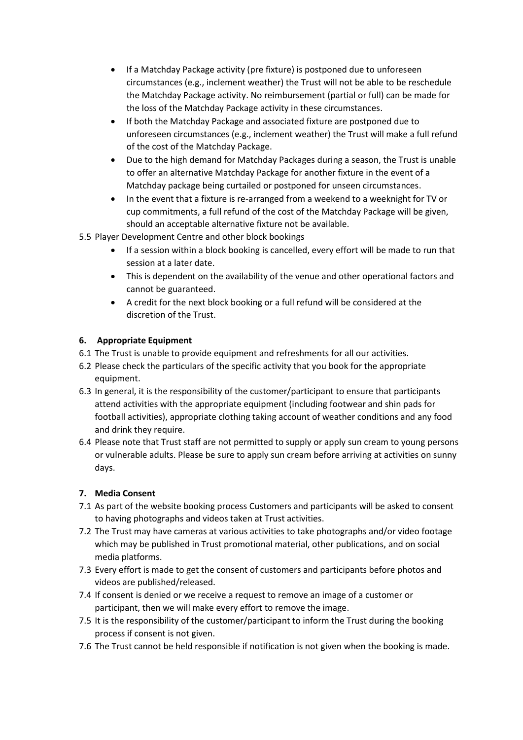- If a Matchday Package activity (pre fixture) is postponed due to unforeseen circumstances (e.g., inclement weather) the Trust will not be able to be reschedule the Matchday Package activity. No reimbursement (partial or full) can be made for the loss of the Matchday Package activity in these circumstances.
- If both the Matchday Package and associated fixture are postponed due to unforeseen circumstances (e.g., inclement weather) the Trust will make a full refund of the cost of the Matchday Package.
- Due to the high demand for Matchday Packages during a season, the Trust is unable to offer an alternative Matchday Package for another fixture in the event of a Matchday package being curtailed or postponed for unseen circumstances.
- In the event that a fixture is re-arranged from a weekend to a weeknight for TV or cup commitments, a full refund of the cost of the Matchday Package will be given, should an acceptable alternative fixture not be available.
- 5.5 Player Development Centre and other block bookings
	- If a session within a block booking is cancelled, every effort will be made to run that session at a later date.
	- This is dependent on the availability of the venue and other operational factors and cannot be guaranteed.
	- A credit for the next block booking or a full refund will be considered at the discretion of the Trust.

### **6. Appropriate Equipment**

- 6.1 The Trust is unable to provide equipment and refreshments for all our activities.
- 6.2 Please check the particulars of the specific activity that you book for the appropriate equipment.
- 6.3 In general, it is the responsibility of the customer/participant to ensure that participants attend activities with the appropriate equipment (including footwear and shin pads for football activities), appropriate clothing taking account of weather conditions and any food and drink they require.
- 6.4 Please note that Trust staff are not permitted to supply or apply sun cream to young persons or vulnerable adults. Please be sure to apply sun cream before arriving at activities on sunny days.

# **7. Media Consent**

- 7.1 As part of the website booking process Customers and participants will be asked to consent to having photographs and videos taken at Trust activities.
- 7.2 The Trust may have cameras at various activities to take photographs and/or video footage which may be published in Trust promotional material, other publications, and on social media platforms.
- 7.3 Every effort is made to get the consent of customers and participants before photos and videos are published/released.
- 7.4 If consent is denied or we receive a request to remove an image of a customer or participant, then we will make every effort to remove the image.
- 7.5 It is the responsibility of the customer/participant to inform the Trust during the booking process if consent is not given.
- 7.6 The Trust cannot be held responsible if notification is not given when the booking is made.